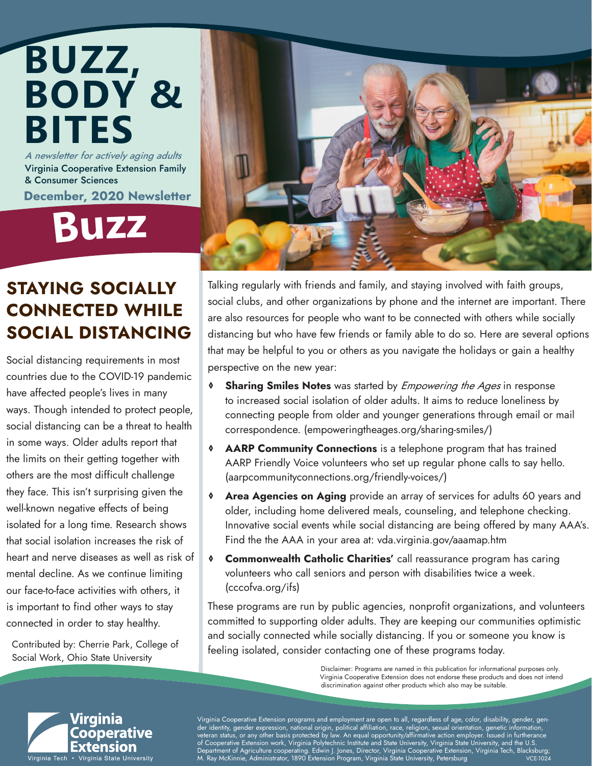### A newsletter for actively aging adults Virginia Cooperative Extension Family **BUZZ, BODY & BITES**

& Consumer Sciences December, 2020 Newsletter

**Buz<sup>z</sup>**

### STAYING SOCIALLY CONNECTED WHILE SOCIAL DISTANCING

Social distancing requirements in most countries due to the COVID-19 pandemic have affected people's lives in many ways. Though intended to protect people, social distancing can be a threat to health in some ways. Older adults report that the limits on their getting together with others are the most difficult challenge they face. This isn't surprising given the well-known negative effects of being isolated for a long time. Research shows that social isolation increases the risk of heart and nerve diseases as well as risk of mental decline. As we continue limiting our face-to-face activities with others, it is important to find other ways to stay connected in order to stay healthy.

Contributed by: Cherrie Park, College of Social Work, Ohio State University



Talking regularly with friends and family, and staying involved with faith groups, social clubs, and other organizations by phone and the internet are important. There are also resources for people who want to be connected with others while socially distancing but who have few friends or family able to do so. Here are several options that may be helpful to you or others as you navigate the holidays or gain a healthy perspective on the new year:

- **<sup>♦</sup> Sharing Smiles Notes** was started by *Empowering the Ages* in response to increased social isolation of older adults. It aims to reduce loneliness by connecting people from older and younger generations through email or mail correspondence. (empoweringtheages.org/sharing-smiles/)
- **EXAMP Community Connections** is a telephone program that has trained AARP Friendly Voice volunteers who set up regular phone calls to say hello. (aarpcommunityconnections.org/friendly-voices/)
- **<sup>♦</sup> Area Agencies on Aging** provide an array of services for adults 60 years and older, including home delivered meals, counseling, and telephone checking. Innovative social events while social distancing are being offered by many AAA's. Find the the AAA in your area at: vda.virginia.gov/aaamap.htm
- ◊ Commonwealth Catholic Charities' call reassurance program has caring volunteers who call seniors and person with disabilities twice a week. (cccofva.org/ifs)

These programs are run by public agencies, nonprofit organizations, and volunteers committed to supporting older adults. They are keeping our communities optimistic and socially connected while socially distancing. If you or someone you know is feeling isolated, consider contacting one of these programs today.

> Disclaimer: Programs are named in this publication for informational purposes only. Virginia Cooperative Extension does not endorse these products and does not intend discrimination against other products which also may be suitable.



Virginia Cooperative Extension programs and employment are open to all, regardless of age, color, disability, gender, gender identity, gender expression, national origin, political affiliation, race, religion, sexual orientation, genetic information, veteran status, or any other basis protected by law. An equal opportunity/affirmative action employer. Issued in furtherance of Cooperative Extension work, Virginia Polytechnic Institute and State University, Virginia State University, and the U.S. , Department of Agriculture cooperating. Edwin J. Jones, Director, Virginia Cooperative Extension, Virginia Tech, Blacksburg;<br>M. Ray McKinnie, Administrator, 1890 Extension Program, Virginia State University, Petersburg